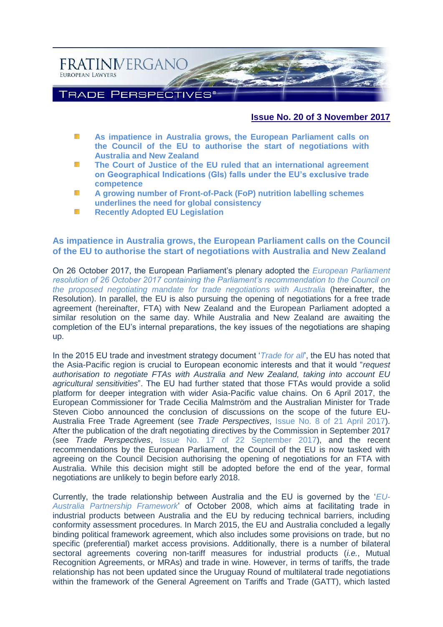

#### **Issue No. 20 of 3 November 2017**

- **As impatience [in Australia grows, the European Parliament calls on](#page-0-0)**  59 **[the Council of the EU to authorise the start of negotiations with](#page-0-0)  [Australia and New Zealand](#page-0-0)**
- 595 **[The Court of Justice of the EU ruled that an international agreement](#page-3-0)  [on Geographical Indications \(GIs\) falls under the EU's exclusive trade](#page-3-0)  [competence](#page-3-0)**
- 櫾 **A growing [number of Front-of-Pack \(FoP\) nutrition labelling schemes](#page-6-0)  [underlines the need for global consistency](#page-6-0)**
- **[Recently Adopted EU Legislation](#page-9-0)** NS.

## <span id="page-0-0"></span>**As impatience in Australia grows, the European Parliament calls on the Council of the EU to authorise the start of negotiations with Australia and New Zealand**

On 26 October 2017, the European Parliament's plenary adopted the *[European Parliament](http://www.europarl.europa.eu/sides/getDoc.do?pubRef=-//EP//NONSGML+TA+P8-TA-2017-0419+0+DOC+PDF+V0//EN)  [resolution of 26 October 2017 containing the Parliament's recommendation to the Council on](http://www.europarl.europa.eu/sides/getDoc.do?pubRef=-//EP//NONSGML+TA+P8-TA-2017-0419+0+DOC+PDF+V0//EN)  [the proposed negotiating mandate for trade negotiations with Australia](http://www.europarl.europa.eu/sides/getDoc.do?pubRef=-//EP//NONSGML+TA+P8-TA-2017-0419+0+DOC+PDF+V0//EN)* (hereinafter, the Resolution). In parallel, the EU is also pursuing the opening of negotiations for a free trade agreement (hereinafter, FTA) with New Zealand and the European Parliament adopted a similar resolution on the same day. While Australia and New Zealand are awaiting the completion of the EU's internal preparations, the key issues of the negotiations are shaping up.

In the 2015 EU trade and investment strategy document '*[Trade for all](http://trade.ec.europa.eu/doclib/docs/2015/october/tradoc_153846.pdf)*', the EU has noted that the Asia-Pacific region is crucial to European economic interests and that it would "*request authorisation to negotiate FTAs with Australia and New Zealand, taking into account EU agricultural sensitivities*". The EU had further stated that those FTAs would provide a solid platform for deeper integration with wider Asia-Pacific value chains. On 6 April 2017, the European Commissioner for Trade Cecilia Malmström and the Australian Minister for Trade Steven Ciobo announced the conclusion of discussions on the scope of the future EU-Australia Free Trade Agreement (see *Trade Perspectives*, [Issue No. 8 of 21 April 2017\)](http://www.fratinivergano.eu/en/issue-number-8-21th-april-2017/#_Australia_and_the). After the publication of the draft negotiating directives by the Commission in September 2017 (see *Trade Perspectives*, [Issue No. 17 of 22 September 2017\)](http://www.fratinivergano.eu/en/issue-number-17-22nd-september-2017/#_The_EU%E2%80%99s_%E2%80%98trade), and the recent recommendations by the European Parliament, the Council of the EU is now tasked with agreeing on the Council Decision authorising the opening of negotiations for an FTA with Australia. While this decision might still be adopted before the end of the year, formal negotiations are unlikely to begin before early 2018.

Currently, the trade relationship between Australia and the EU is governed by the '*[EU-](http://dfat.gov.au/geo/europe/european-union/Pages/australia-european-union-eu-partnership-framework.aspx)[Australia Partnership Framework](http://dfat.gov.au/geo/europe/european-union/Pages/australia-european-union-eu-partnership-framework.aspx)*' of October 2008, which aims at facilitating trade in industrial products between Australia and the EU by reducing technical barriers, including conformity assessment procedures. In March 2015, the EU and Australia concluded a legally binding political framework agreement, which also includes some provisions on trade, but no specific (preferential) market access provisions. Additionally, there is a number of bilateral sectoral agreements covering non-tariff measures for industrial products (*i.e.*, Mutual Recognition Agreements, or MRAs) and trade in wine. However, in terms of tariffs, the trade relationship has not been updated since the Uruguay Round of multilateral trade negotiations within the framework of the General Agreement on Tariffs and Trade (GATT), which lasted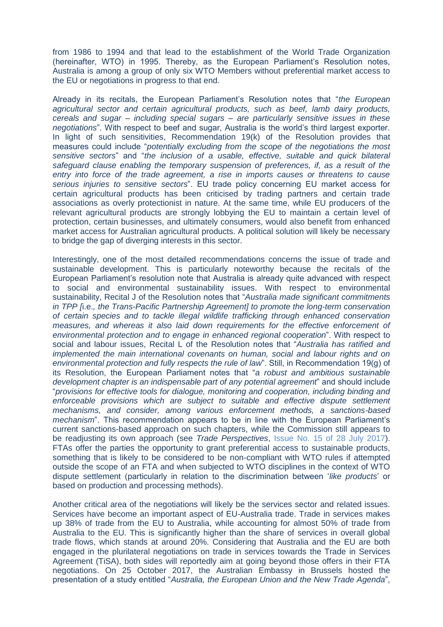from 1986 to 1994 and that lead to the establishment of the World Trade Organization (hereinafter, WTO) in 1995. Thereby, as the European Parliament's Resolution notes, Australia is among a group of only six WTO Members without preferential market access to the EU or negotiations in progress to that end.

Already in its recitals, the European Parliament's Resolution notes that "*the European agricultural sector and certain agricultural products, such as beef, lamb dairy products, cereals and sugar – including special sugars – are particularly sensitive issues in these negotiations*". With respect to beef and sugar, Australia is the world's third largest exporter. In light of such sensitivities, Recommendation 19(k) of the Resolution provides that measures could include "*potentially excluding from the scope of the negotiations the most sensitive sectors*" and "*the inclusion of a usable, effective, suitable and quick bilateral safeguard clause enabling the temporary suspension of preferences, if, as a result of the entry into force of the trade agreement, a rise in imports causes or threatens to cause serious injuries to sensitive sectors*". EU trade policy concerning EU market access for certain agricultural products has been criticised by trading partners and certain trade associations as overly protectionist in nature. At the same time, while EU producers of the relevant agricultural products are strongly lobbying the EU to maintain a certain level of protection, certain businesses, and ultimately consumers, would also benefit from enhanced market access for Australian agricultural products. A political solution will likely be necessary to bridge the gap of diverging interests in this sector.

Interestingly, one of the most detailed recommendations concerns the issue of trade and sustainable development. This is particularly noteworthy because the recitals of the European Parliament's resolution note that Australia is already quite advanced with respect to social and environmental sustainability issues. With respect to environmental sustainability, Recital J of the Resolution notes that "*Australia made significant commitments in TPP [*i.e.*, the Trans-Pacific Partnership Agreement] to promote the long-term conservation of certain species and to tackle illegal wildlife trafficking through enhanced conservation measures, and whereas it also laid down requirements for the effective enforcement of environmental protection and to engage in enhanced regional cooperation*". With respect to social and labour issues, Recital L of the Resolution notes that "*Australia has ratified and implemented the main international covenants on human, social and labour rights and on environmental protection and fully respects the rule of law*". Still, in Recommendation 19(g) of its Resolution, the European Parliament notes that "*a robust and ambitious sustainable development chapter is an indispensable part of any potential agreement*" and should include "*provisions for effective tools for dialogue, monitoring and cooperation, including binding and enforceable provisions which are subject to suitable and effective dispute settlement mechanisms, and consider, among various enforcement methods, a sanctions-based mechanism*". This recommendation appears to be in line with the European Parliament's current sanctions-based approach on such chapters, while the Commission still appears to be readjusting its own approach (see *Trade Perspectives*, [Issue No. 15 of 28 July 2017\)](http://www.fratinivergano.eu/en/issue-number-15-28th-july-2017/#_The_future_of). FTAs offer the parties the opportunity to grant preferential access to sustainable products, something that is likely to be considered to be non-compliant with WTO rules if attempted outside the scope of an FTA and when subjected to WTO disciplines in the context of WTO dispute settlement (particularly in relation to the discrimination between '*like products*' or based on production and processing methods).

Another critical area of the negotiations will likely be the services sector and related issues. Services have become an important aspect of EU-Australia trade. Trade in services makes up 38% of trade from the EU to Australia, while accounting for almost 50% of trade from Australia to the EU. This is significantly higher than the share of services in overall global trade flows, which stands at around 20%. Considering that Australia and the EU are both engaged in the plurilateral negotiations on trade in services towards the Trade in Services Agreement (TiSA), both sides will reportedly aim at going beyond those offers in their FTA negotiations. On 25 October 2017, the Australian Embassy in Brussels hosted the presentation of a study entitled "*Australia, the European Union and the New Trade Agenda*",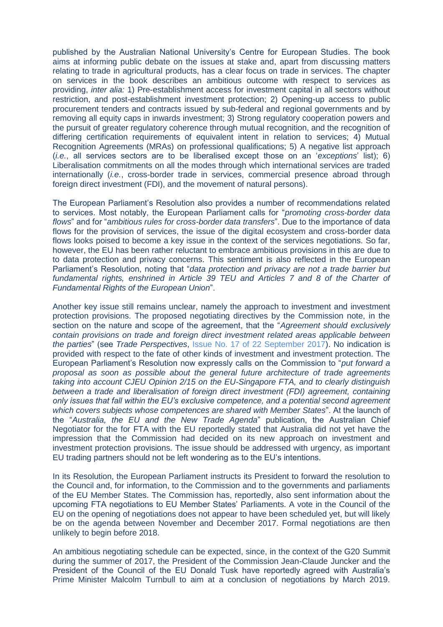published by the Australian National University's Centre for European Studies. The book aims at informing public debate on the issues at stake and, apart from discussing matters relating to trade in agricultural products, has a clear focus on trade in services. The chapter on services in the book describes an ambitious outcome with respect to services as providing, *inter alia:* 1) Pre-establishment access for investment capital in all sectors without restriction, and post-establishment investment protection; 2) Opening-up access to public procurement tenders and contracts issued by sub-federal and regional governments and by removing all equity caps in inwards investment; 3) Strong regulatory cooperation powers and the pursuit of greater regulatory coherence through mutual recognition, and the recognition of differing certification requirements of equivalent intent in relation to services; 4) Mutual Recognition Agreements (MRAs) on professional qualifications; 5) A negative list approach (*i.e.*, all services sectors are to be liberalised except those on an '*exceptions*' list); 6) Liberalisation commitments on all the modes through which international services are traded internationally (*i.e.*, cross-border trade in services, commercial presence abroad through foreign direct investment (FDI), and the movement of natural persons).

The European Parliament's Resolution also provides a number of recommendations related to services. Most notably, the European Parliament calls for "*promoting cross-border data flows*" and for "*ambitious rules for cross-border data transfers*". Due to the importance of data flows for the provision of services, the issue of the digital ecosystem and cross-border data flows looks poised to become a key issue in the context of the services negotiations. So far, however, the EU has been rather reluctant to embrace ambitious provisions in this are due to to data protection and privacy concerns. This sentiment is also reflected in the European Parliament's Resolution, noting that "*data protection and privacy are not a trade barrier but*  fundamental rights, enshrined in Article 39 TEU and Articles 7 and 8 of the Charter of *Fundamental Rights of the European Union*".

Another key issue still remains unclear, namely the approach to investment and investment protection provisions. The proposed negotiating directives by the Commission note, in the section on the nature and scope of the agreement, that the "*Agreement should exclusively contain provisions on trade and foreign direct investment related areas applicable between the parties*" (see *Trade Perspectives*, [Issue No. 17 of 22 September 2017\)](http://www.fratinivergano.eu/en/issue-number-17-22nd-september-2017/#_The_EU%E2%80%99s_%E2%80%98trade). No indication is provided with respect to the fate of other kinds of investment and investment protection. The European Parliament's Resolution now expressly calls on the Commission to "*put forward a proposal as soon as possible about the general future architecture of trade agreements taking into account CJEU Opinion 2/15 on the EU-Singapore FTA, and to clearly distinguish between a trade and liberalisation of foreign direct investment (FDI) agreement, containing only issues that fall within the EU's exclusive competence, and a potential second agreement which covers subjects whose competences are shared with Member States*". At the launch of the "*Australia, the EU and the New Trade Agenda*" publication, the Australian Chief Negotiator for the for FTA with the EU reportedly stated that Australia did not yet have the impression that the Commission had decided on its new approach on investment and investment protection provisions. The issue should be addressed with urgency, as important EU trading partners should not be left wondering as to the EU's intentions.

In its Resolution, the European Parliament instructs its President to forward the resolution to the Council and, for information, to the Commission and to the governments and parliaments of the EU Member States. The Commission has, reportedly, also sent information about the upcoming FTA negotiations to EU Member States' Parliaments. A vote in the Council of the EU on the opening of negotiations does not appear to have been scheduled yet, but will likely be on the agenda between November and December 2017. Formal negotiations are then unlikely to begin before 2018.

An ambitious negotiating schedule can be expected, since, in the context of the G20 Summit during the summer of 2017, the President of the Commission Jean-Claude Juncker and the President of the Council of the EU Donald Tusk have reportedly agreed with Australia's Prime Minister Malcolm Turnbull to aim at a conclusion of negotiations by March 2019.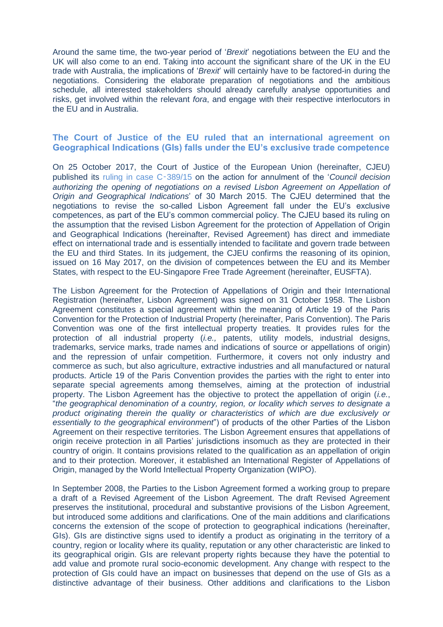Around the same time, the two-year period of '*Brexit*' negotiations between the EU and the UK will also come to an end. Taking into account the significant share of the UK in the EU trade with Australia, the implications of '*Brexit*' will certainly have to be factored-in during the negotiations. Considering the elaborate preparation of negotiations and the ambitious schedule, all interested stakeholders should already carefully analyse opportunities and risks, get involved within the relevant *fora*, and engage with their respective interlocutors in the EU and in Australia.

### <span id="page-3-0"></span>**The Court of Justice of the EU ruled that an international agreement on Geographical Indications (GIs) falls under the EU's exclusive trade competence**

On 25 October 2017, the Court of Justice of the European Union (hereinafter, CJEU) published its [ruling in case C](http://curia.europa.eu/juris/document/document.jsf?text=&docid=195942&pageIndex=0&doclang=en&mode=req&dir=&occ=first&part=1&cid=1918694)‑389/15 on the action for annulment of the '*Council decision authorizing the opening of negotiations on a revised Lisbon Agreement on Appellation of Origin and Geographical Indications*' of 30 March 2015. The CJEU determined that the negotiations to revise the so-called Lisbon Agreement fall under the EU's exclusive competences, as part of the EU's common commercial policy. The CJEU based its ruling on the assumption that the revised Lisbon Agreement for the protection of Appellation of Origin and Geographical Indications (hereinafter, Revised Agreement) has direct and immediate effect on international trade and is essentially intended to facilitate and govern trade between the EU and third States. In its judgement, the CJEU confirms the reasoning of its opinion, issued on 16 May 2017, on the division of competences between the EU and its Member States, with respect to the EU-Singapore Free Trade Agreement (hereinafter, EUSFTA).

The Lisbon Agreement for the Protection of Appellations of Origin and their International Registration (hereinafter, Lisbon Agreement) was signed on 31 October 1958. The Lisbon Agreement constitutes a special agreement within the meaning of Article 19 of the Paris Convention for the Protection of Industrial Property (hereinafter, Paris Convention). The Paris Convention was one of the first intellectual property treaties. It provides rules for the protection of all industrial property (*i.e.,* patents, utility models, industrial designs, trademarks, service marks, trade names and indications of source or appellations of origin) and the repression of unfair competition. Furthermore, it covers not only industry and commerce as such, but also agriculture, extractive industries and all manufactured or natural products. Article 19 of the Paris Convention provides the parties with the right to enter into separate special agreements among themselves, aiming at the protection of industrial property. The Lisbon Agreement has the objective to protect the appellation of origin (*i.e.*, "*the geographical denomination of a country, region, or locality which serves to designate a product originating therein the quality or characteristics of which are due exclusively or essentially to the geographical environment*") of products of the other Parties of the Lisbon Agreement on their respective territories. The Lisbon Agreement ensures that appellations of origin receive protection in all Parties' jurisdictions insomuch as they are protected in their country of origin. It contains provisions related to the qualification as an appellation of origin and to their protection. Moreover, it established an International Register of Appellations of Origin, managed by the World Intellectual Property Organization (WIPO).

In September 2008, the Parties to the Lisbon Agreement formed a working group to prepare a draft of a Revised Agreement of the Lisbon Agreement. The draft Revised Agreement preserves the institutional, procedural and substantive provisions of the Lisbon Agreement, but introduced some additions and clarifications. One of the main additions and clarifications concerns the extension of the scope of protection to geographical indications (hereinafter, GIs). GIs are distinctive signs used to identify a product as originating in the territory of a country, region or locality where its quality, reputation or any other characteristic are linked to its geographical origin. GIs are relevant property rights because they have the potential to add value and promote rural socio-economic development. Any change with respect to the protection of GIs could have an impact on businesses that depend on the use of GIs as a distinctive advantage of their business. Other additions and clarifications to the Lisbon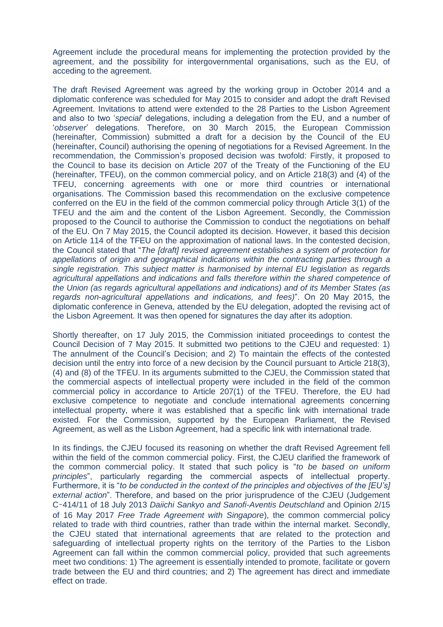Agreement include the procedural means for implementing the protection provided by the agreement, and the possibility for intergovernmental organisations, such as the EU, of acceding to the agreement.

The draft Revised Agreement was agreed by the working group in October 2014 and a diplomatic conference was scheduled for May 2015 to consider and adopt the draft Revised Agreement. Invitations to attend were extended to the 28 Parties to the Lisbon Agreement and also to two '*special*' delegations, including a delegation from the EU, and a number of '*observer*' delegations. Therefore, on 30 March 2015, the European Commission (hereinafter, Commission) submitted a draft for a decision by the Council of the EU (hereinafter, Council) authorising the opening of negotiations for a Revised Agreement. In the recommendation, the Commission's proposed decision was twofold: Firstly, it proposed to the Council to base its decision on Article 207 of the Treaty of the Functioning of the EU (hereinafter, TFEU), on the common commercial policy, and on Article 218(3) and (4) of the TFEU, concerning agreements with one or more third countries or international organisations. The Commission based this recommendation on the exclusive competence conferred on the EU in the field of the common commercial policy through Article 3(1) of the TFEU and the aim and the content of the Lisbon Agreement. Secondly, the Commission proposed to the Council to authorise the Commission to conduct the negotiations on behalf of the EU. On 7 May 2015, the Council adopted its decision. However, it based this decision on Article 114 of the TFEU on the approximation of national laws. In the contested decision, the Council stated that "*The [draft] revised agreement establishes a system of protection for appellations of origin and geographical indications within the contracting parties through a single registration. This subject matter is harmonised by internal EU legislation as regards agricultural appellations and indications and falls therefore within the shared competence of the Union (as regards agricultural appellations and indications) and of its Member States (as regards non-agricultural appellations and indications, and fees)*". On 20 May 2015, the diplomatic conference in Geneva, attended by the EU delegation, adopted the revising act of the Lisbon Agreement. It was then opened for signatures the day after its adoption.

Shortly thereafter, on 17 July 2015, the Commission initiated proceedings to contest the Council Decision of 7 May 2015. It submitted two petitions to the CJEU and requested: 1) The annulment of the Council's Decision; and 2) To maintain the effects of the contested decision until the entry into force of a new decision by the Council pursuant to Article 218(3), (4) and (8) of the TFEU. In its arguments submitted to the CJEU, the Commission stated that the commercial aspects of intellectual property were included in the field of the common commercial policy in accordance to Article 207(1) of the TFEU. Therefore, the EU had exclusive competence to negotiate and conclude international agreements concerning intellectual property, where it was established that a specific link with international trade existed. For the Commission, supported by the European Parliament, the Revised Agreement, as well as the Lisbon Agreement, had a specific link with international trade.

In its findings, the CJEU focused its reasoning on whether the draft Revised Agreement fell within the field of the common commercial policy. First, the CJEU clarified the framework of the common commercial policy. It stated that such policy is "*to be based on uniform principles*", particularly regarding the commercial aspects of intellectual property. Furthermore, it is "*to be conducted in the context of the principles and objectives of the [EU's] external action*". Therefore, and based on the prior jurisprudence of the CJEU (Judgement C‑414/11 of 18 July 2013 *Daiichi Sankyo and Sanofi-Aventis Deutschland* and Opinion 2/15 of 16 May 2017 *Free Trade Agreement with Singapore*), the common commercial policy related to trade with third countries, rather than trade within the internal market. Secondly, the CJEU stated that international agreements that are related to the protection and safeguarding of intellectual property rights on the territory of the Parties to the Lisbon Agreement can fall within the common commercial policy, provided that such agreements meet two conditions: 1) The agreement is essentially intended to promote, facilitate or govern trade between the EU and third countries; and 2) The agreement has direct and immediate effect on trade.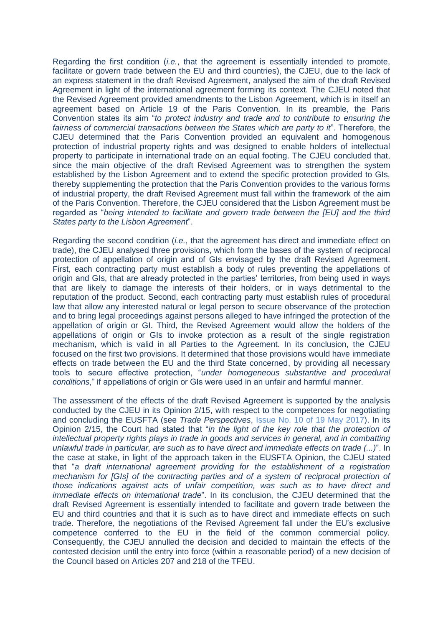Regarding the first condition (*i.e.*, that the agreement is essentially intended to promote, facilitate or govern trade between the EU and third countries), the CJEU, due to the lack of an express statement in the draft Revised Agreement, analysed the aim of the draft Revised Agreement in light of the international agreement forming its context. The CJEU noted that the Revised Agreement provided amendments to the Lisbon Agreement, which is in itself an agreement based on Article 19 of the Paris Convention. In its preamble, the Paris Convention states its aim "*to protect industry and trade and to contribute to ensuring the fairness of commercial transactions between the States which are party to it*". Therefore, the CJEU determined that the Paris Convention provided an equivalent and homogenous protection of industrial property rights and was designed to enable holders of intellectual property to participate in international trade on an equal footing. The CJEU concluded that, since the main objective of the draft Revised Agreement was to strengthen the system established by the Lisbon Agreement and to extend the specific protection provided to GIs, thereby supplementing the protection that the Paris Convention provides to the various forms of industrial property, the draft Revised Agreement must fall within the framework of the aim of the Paris Convention. Therefore, the CJEU considered that the Lisbon Agreement must be regarded as "*being intended to facilitate and govern trade between the [EU] and the third States party to the Lisbon Agreement*".

Regarding the second condition (*i.e.*, that the agreement has direct and immediate effect on trade), the CJEU analysed three provisions, which form the bases of the system of reciprocal protection of appellation of origin and of GIs envisaged by the draft Revised Agreement. First, each contracting party must establish a body of rules preventing the appellations of origin and GIs, that are already protected in the parties' territories, from being used in ways that are likely to damage the interests of their holders, or in ways detrimental to the reputation of the product. Second, each contracting party must establish rules of procedural law that allow any interested natural or legal person to secure observance of the protection and to bring legal proceedings against persons alleged to have infringed the protection of the appellation of origin or GI. Third, the Revised Agreement would allow the holders of the appellations of origin or GIs to invoke protection as a result of the single registration mechanism, which is valid in all Parties to the Agreement. In its conclusion, the CJEU focused on the first two provisions. It determined that those provisions would have immediate effects on trade between the EU and the third State concerned, by providing all necessary tools to secure effective protection, "*under homogeneous substantive and procedural conditions*," if appellations of origin or GIs were used in an unfair and harmful manner.

The assessment of the effects of the draft Revised Agreement is supported by the analysis conducted by the CJEU in its Opinion 2/15, with respect to the competences for negotiating and concluding the EUSFTA (see *Trade Perspectives*, [Issue No. 10 of 19 May 2017\)](http://www.fratinivergano.eu/en/issue-number-10-19th-may-2017/#_CJEU_Opinion_%20EU_Singapore). In its Opinion 2/15, the Court had stated that "*in the light of the key role that the protection of intellectual property rights plays in trade in goods and services in general, and in combatting unlawful trade in particular, are such as to have direct and immediate effects on trade (...)*". In the case at stake, in light of the approach taken in the EUSFTA Opinion, the CJEU stated that "*a draft international agreement providing for the establishment of a registration mechanism for [GIs] of the contracting parties and of a system of reciprocal protection of those indications against acts of unfair competition, was such as to have direct and immediate effects on international trade*". In its conclusion, the CJEU determined that the draft Revised Agreement is essentially intended to facilitate and govern trade between the EU and third countries and that it is such as to have direct and immediate effects on such trade. Therefore, the negotiations of the Revised Agreement fall under the EU's exclusive competence conferred to the EU in the field of the common commercial policy. Consequently, the CJEU annulled the decision and decided to maintain the effects of the contested decision until the entry into force (within a reasonable period) of a new decision of the Council based on Articles 207 and 218 of the TFEU.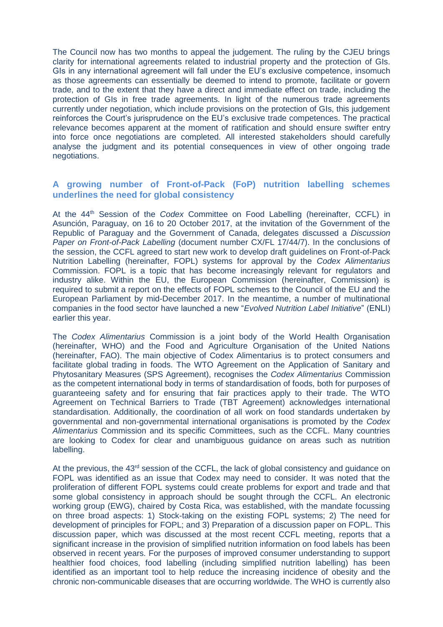The Council now has two months to appeal the judgement. The ruling by the CJEU brings clarity for international agreements related to industrial property and the protection of GIs. GIs in any international agreement will fall under the EU's exclusive competence, insomuch as those agreements can essentially be deemed to intend to promote, facilitate or govern trade, and to the extent that they have a direct and immediate effect on trade, including the protection of GIs in free trade agreements. In light of the numerous trade agreements currently under negotiation, which include provisions on the protection of GIs, this judgement reinforces the Court's jurisprudence on the EU's exclusive trade competences. The practical relevance becomes apparent at the moment of ratification and should ensure swifter entry into force once negotiations are completed. All interested stakeholders should carefully analyse the judgment and its potential consequences in view of other ongoing trade negotiations.

## <span id="page-6-0"></span>**A growing number of Front-of-Pack (FoP) nutrition labelling schemes underlines the need for global consistency**

At the 44th Session of the *Codex* Committee on Food Labelling (hereinafter, CCFL) in Asunción, Paraguay, on 16 to 20 October 2017, at the invitation of the Government of the Republic of Paraguay and the Government of Canada, delegates discussed a *Discussion Paper on Front-of-Pack Labelling* (document number CX/FL 17/44/7). In the conclusions of the session, the CCFL agreed to start new work to develop draft guidelines on Front-of-Pack Nutrition Labelling (hereinafter, FOPL) systems for approval by the *Codex Alimentarius* Commission. FOPL is a topic that has become increasingly relevant for regulators and industry alike. Within the EU, the European Commission (hereinafter, Commission) is required to submit a report on the effects of FOPL schemes to the Council of the EU and the European Parliament by mid-December 2017. In the meantime, a number of multinational companies in the food sector have launched a new "*Evolved Nutrition Label Initiative*" (ENLI) earlier this year.

The *Codex Alimentarius* Commission is a joint body of the World Health Organisation (hereinafter, WHO) and the Food and Agriculture Organisation of the United Nations (hereinafter, FAO). The main objective of Codex Alimentarius is to protect consumers and facilitate global trading in foods. The WTO Agreement on the Application of Sanitary and Phytosanitary Measures (SPS Agreement), recognises the *Codex Alimentarius* Commission as the competent international body in terms of standardisation of foods, both for purposes of guaranteeing safety and for ensuring that fair practices apply to their trade. The WTO Agreement on Technical Barriers to Trade (TBT Agreement) acknowledges international standardisation. Additionally, the coordination of all work on food standards undertaken by governmental and non-governmental international organisations is promoted by the *Codex Alimentarius* Commission and its specific Committees, such as the CCFL. Many countries are looking to Codex for clear and unambiguous guidance on areas such as nutrition labelling.

At the previous, the 43<sup>rd</sup> session of the CCFL, the lack of global consistency and guidance on FOPL was identified as an issue that Codex may need to consider. It was noted that the proliferation of different FOPL systems could create problems for export and trade and that some global consistency in approach should be sought through the CCFL. An electronic working group (EWG), chaired by Costa Rica, was established, with the mandate focussing on three broad aspects: 1) Stock-taking on the existing FOPL systems; 2) The need for development of principles for FOPL; and 3) Preparation of a discussion paper on FOPL. This discussion paper, which was discussed at the most recent CCFL meeting, reports that a significant increase in the provision of simplified nutrition information on food labels has been observed in recent years. For the purposes of improved consumer understanding to support healthier food choices, food labelling (including simplified nutrition labelling) has been identified as an important tool to help reduce the increasing incidence of obesity and the chronic non-communicable diseases that are occurring worldwide. The WHO is currently also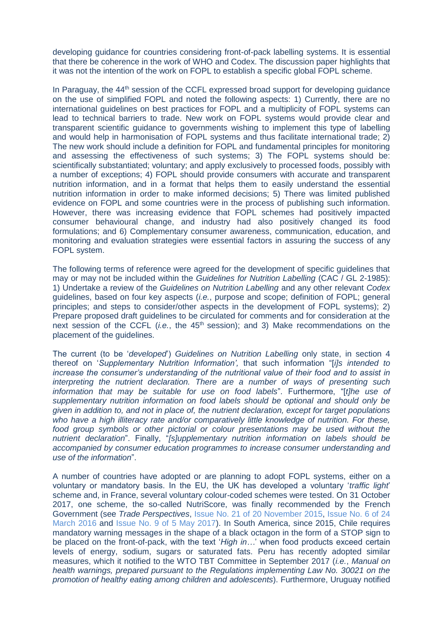developing guidance for countries considering front-of-pack labelling systems. It is essential that there be coherence in the work of WHO and Codex. The discussion paper highlights that it was not the intention of the work on FOPL to establish a specific global FOPL scheme.

In Paraguay, the 44<sup>th</sup> session of the CCFL expressed broad support for developing guidance on the use of simplified FOPL and noted the following aspects: 1) Currently, there are no international guidelines on best practices for FOPL and a multiplicity of FOPL systems can lead to technical barriers to trade. New work on FOPL systems would provide clear and transparent scientific guidance to governments wishing to implement this type of labelling and would help in harmonisation of FOPL systems and thus facilitate international trade; 2) The new work should include a definition for FOPL and fundamental principles for monitoring and assessing the effectiveness of such systems; 3) The FOPL systems should be: scientifically substantiated; voluntary; and apply exclusively to processed foods, possibly with a number of exceptions; 4) FOPL should provide consumers with accurate and transparent nutrition information, and in a format that helps them to easily understand the essential nutrition information in order to make informed decisions; 5) There was limited published evidence on FOPL and some countries were in the process of publishing such information. However, there was increasing evidence that FOPL schemes had positively impacted consumer behavioural change, and industry had also positively changed its food formulations; and 6) Complementary consumer awareness, communication, education, and monitoring and evaluation strategies were essential factors in assuring the success of any FOPL system.

The following terms of reference were agreed for the development of specific guidelines that may or may not be included within the *Guidelines for Nutrition Labelling* (CAC / GL 2-1985): 1) Undertake a review of the *Guidelines on Nutrition Labelling* and any other relevant *Codex* guidelines, based on four key aspects (*i.e.*, purpose and scope; definition of FOPL; general principles; and steps to consider/other aspects in the development of FOPL systems); 2) Prepare proposed draft guidelines to be circulated for comments and for consideration at the next session of the CCFL *(i.e., the 45<sup>th</sup> session); and 3) Make recommendations on the* placement of the guidelines.

The current (to be '*developed*') *Guidelines on Nutrition Labelling* only state, in section 4 thereof on '*Supplementary Nutrition Information',* that such information "[*i]s intended to increase the consumer's understanding of the nutritional value of their food and to assist in interpreting the nutrient declaration. There are a number of ways of presenting such information that may be suitable for use on food labels*". Furthermore, "[*t]he use of supplementary nutrition information on food labels should be optional and should only be given in addition to, and not in place of, the nutrient declaration, except for target populations who have a high illiteracy rate and/or comparatively little knowledge of nutrition. For these,*  food group symbols or other pictorial or colour presentations may be used without the *nutrient declaration*". Finally, "*[s]upplementary nutrition information on labels should be accompanied by consumer education programmes to increase consumer understanding and use of the information*".

A number of countries have adopted or are planning to adopt FOPL systems, either on a voluntary or mandatory basis. In the EU, the UK has developed a voluntary '*traffic light*' scheme and, in France, several voluntary colour-coded schemes were tested. On 31 October 2017, one scheme, the so-called NutriScore, was finally recommended by the French Government (see *Trade Perspectives*, [Issue No. 21 of 20 November 2015,](http://www.fratinivergano.eu/en/trade-perspectives/issue-number-21-20th-november-2015/) [Issue No. 6 of 24](http://www.fratinivergano.eu/en/issue-number-6-24th-march-2016/#_Seven_EU_Member)  [March 2016](http://www.fratinivergano.eu/en/issue-number-6-24th-march-2016/#_Seven_EU_Member) and [Issue No. 9 of 5 May 2017\)](http://www.fratinivergano.eu/en/trade-perspectives/issue-number-9-5th-may-2017/#_France_recommends_to). In South America, since 2015, Chile requires mandatory warning messages in the shape of a black octagon in the form of a STOP sign to be placed on the front-of-pack, with the text '*High in…*' when food products exceed certain levels of energy, sodium, sugars or saturated fats. Peru has recently adopted similar measures, which it notified to the WTO TBT Committee in September 2017 (*i.e.*, *Manual on health warnings, prepared pursuant to the Regulations implementing Law No. 30021 on the promotion of healthy eating among children and adolescents*). Furthermore, Uruguay notified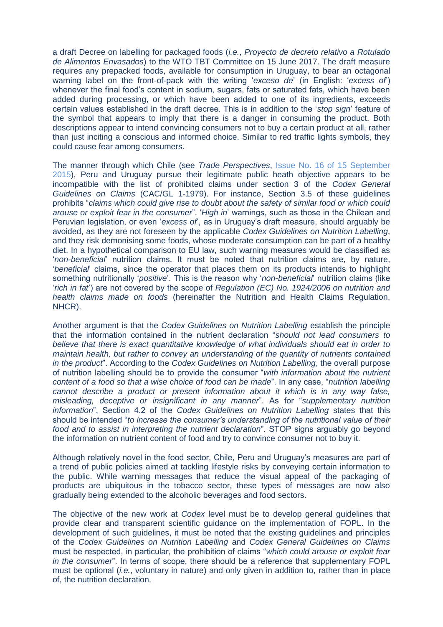a draft Decree on labelling for packaged foods (*i.e.*, *Proyecto de decreto relativo a Rotulado de Alimentos Envasados*) to the WTO TBT Committee on 15 June 2017. The draft measure requires any prepacked foods, available for consumption in Uruguay, to bear an octagonal warning label on the front-of-pack with the writing '*exceso de*' (in English: '*excess of*') whenever the final food's content in sodium, sugars, fats or saturated fats, which have been added during processing, or which have been added to one of its ingredients, exceeds certain values established in the draft decree. This is in addition to the '*stop sign*' feature of the symbol that appears to imply that there is a danger in consuming the product. Both descriptions appear to intend convincing consumers not to buy a certain product at all, rather than just inciting a conscious and informed choice. Similar to red traffic lights symbols, they could cause fear among consumers.

The manner through which Chile (see *Trade Perspectives*, [Issue No. 16 of 15 September](http://www.fratinivergano.eu/static/upload/1/1/15.09_.11_TP_Issue_16_.pdf)  [2015\)](http://www.fratinivergano.eu/static/upload/1/1/15.09_.11_TP_Issue_16_.pdf), Peru and Uruguay pursue their legitimate public heath objective appears to be incompatible with the list of prohibited claims under section 3 of the *Codex General Guidelines on Claims* (CAC/GL 1-1979). For instance, Section 3.5 of these guidelines prohibits "*claims which could give rise to doubt about the safety of similar food or which could arouse or exploit fear in the consumer*". '*High in*' warnings, such as those in the Chilean and Peruvian legislation, or even '*excess of*', as in Uruguay's draft measure, should arguably be avoided, as they are not foreseen by the applicable *Codex Guidelines on Nutrition Labelling*, and they risk demonising some foods, whose moderate consumption can be part of a healthy diet. In a hypothetical comparison to EU law, such warning measures would be classified as '*non-beneficial*' nutrition claims. It must be noted that nutrition claims are, by nature, '*beneficial*' claims, since the operator that places them on its products intends to highlight something nutritionally '*positive*'. This is the reason why '*non-beneficial*' nutrition claims (like '*rich in fat*') are not covered by the scope of *Regulation (EC) No. 1924/2006 on nutrition and health claims made on foods* (hereinafter the Nutrition and Health Claims Regulation, NHCR).

Another argument is that the *Codex Guidelines on Nutrition Labelling* establish the principle that the information contained in the nutrient declaration "*should not lead consumers to believe that there is exact quantitative knowledge of what individuals should eat in order to maintain health, but rather to convey an understanding of the quantity of nutrients contained in the product*". According to the *Codex Guidelines on Nutrition Labelling*, the overall purpose of nutrition labelling should be to provide the consumer "*with information about the nutrient content of a food so that a wise choice of food can be made*". In any case, "*nutrition labelling cannot describe a product or present information about it which is in any way false, misleading, deceptive or insignificant in any manner*". As for "*supplementary nutrition information*", Section 4.2 of the *Codex Guidelines on Nutrition Labelling* states that this should be intended "*to increase the consumer's understanding of the nutritional value of their food and to assist in interpreting the nutrient declaration*". STOP signs arguably go beyond the information on nutrient content of food and try to convince consumer not to buy it.

Although relatively novel in the food sector, Chile, Peru and Uruguay's measures are part of a trend of public policies aimed at tackling lifestyle risks by conveying certain information to the public. While warning messages that reduce the visual appeal of the packaging of products are ubiquitous in the tobacco sector, these types of messages are now also gradually being extended to the alcoholic beverages and food sectors.

The objective of the new work at *Codex* level must be to develop general guidelines that provide clear and transparent scientific guidance on the implementation of FOPL. In the development of such guidelines, it must be noted that the existing guidelines and principles of the *Codex Guidelines on Nutrition Labelling* and *Codex General Guidelines on Claims* must be respected, in particular, the prohibition of claims "*which could arouse or exploit fear in the consumer*". In terms of scope, there should be a reference that supplementary FOPL must be optional (*i.e.*, voluntary in nature) and only given in addition to, rather than in place of, the nutrition declaration.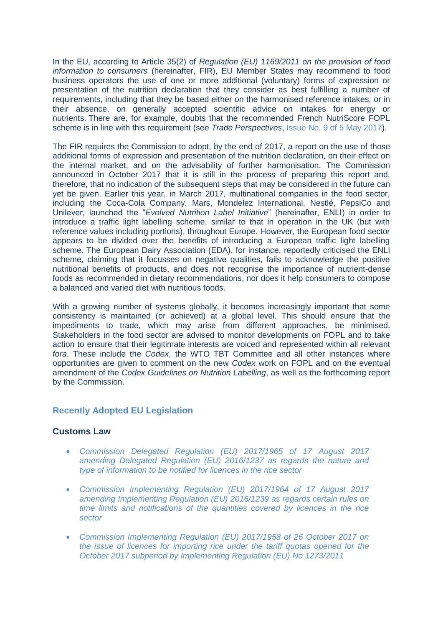In the EU, according to Article 35(2) of *Regulation (EU) 1169/2011 on the provision of food information to consumers* (hereinafter, FIR), EU Member States may recommend to food business operators the use of one or more additional (voluntary) forms of expression or presentation of the nutrition declaration that they consider as best fulfilling a number of requirements, including that they be based either on the harmonised reference intakes, or in their absence, on generally accepted scientific advice on intakes for energy or nutrients. There are, for example, doubts that the recommended French NutriScore FOPL scheme is in line with this requirement (see *Trade Perspectives*, [Issue No. 9 of 5 May 2017\)](http://www.fratinivergano.eu/en/trade-perspectives/issue-number-9-5th-may-2017/#_France_recommends_to).

The FIR requires the Commission to adopt, by the end of 2017, a report on the use of those additional forms of expression and presentation of the nutrition declaration, on their effect on the internal market, and on the advisability of further harmonisation. The Commission announced in October 2017 that it is still in the process of preparing this report and, therefore, that no indication of the subsequent steps that may be considered in the future can yet be given. Earlier this year, in March 2017, multinational companies in the food sector, including the Coca-Cola Company, Mars, Mondelez International, Nestlé, PepsiCo and Unilever, launched the "*Evolved Nutrition Label Initiative*" (hereinafter, ENLI) in order to introduce a traffic light labelling scheme, similar to that in operation in the UK (but with reference values including portions), throughout Europe. However, the European food sector appears to be divided over the benefits of introducing a European traffic light labelling scheme. The European Dairy Association (EDA), for instance, reportedly criticised the ENLI scheme, claiming that it focusses on negative qualities, fails to acknowledge the positive nutritional benefits of products, and does not recognise the importance of nutrient-dense foods as recommended in dietary recommendations, nor does it help consumers to compose a balanced and varied diet with nutritious foods.

With a growing number of systems globally, it becomes increasingly important that some consistency is maintained (or achieved) at a global level. This should ensure that the impediments to trade, which may arise from different approaches, be minimised. Stakeholders in the food sector are advised to monitor developments on FOPL and to take action to ensure that their legitimate interests are voiced and represented within all relevant *fora*. These include the *Codex*, the WTO TBT Committee and all other instances where opportunities are given to comment on the new *Codex* work on FOPL and on the eventual amendment of the *Codex Guidelines on Nutrition Labelling*, as well as the forthcoming report by the Commission.

### <span id="page-9-0"></span>**Recently Adopted EU Legislation**

### **Customs Law**

- *[Commission Delegated Regulation \(EU\) 2017/1965 of 17 August 2017](http://eur-lex.europa.eu/legal-content/EN/AUTO/?uri=uriserv:OJ.L_.2017.279.01.0036.01.ENG&toc=OJ:L:2017:279:TOC)  [amending Delegated Regulation \(EU\) 2016/1237 as regards the nature and](http://eur-lex.europa.eu/legal-content/EN/AUTO/?uri=uriserv:OJ.L_.2017.279.01.0036.01.ENG&toc=OJ:L:2017:279:TOC)  [type of information to be notified for licences in the rice sector](http://eur-lex.europa.eu/legal-content/EN/AUTO/?uri=uriserv:OJ.L_.2017.279.01.0036.01.ENG&toc=OJ:L:2017:279:TOC)*
- *[Commission Implementing Regulation \(EU\) 2017/1964 of 17 August 2017](http://eur-lex.europa.eu/legal-content/EN/AUTO/?uri=uriserv:OJ.L_.2017.279.01.0034.01.ENG&toc=OJ:L:2017:279:TOC)  [amending Implementing Regulation \(EU\) 2016/1239 as regards certain rules on](http://eur-lex.europa.eu/legal-content/EN/AUTO/?uri=uriserv:OJ.L_.2017.279.01.0034.01.ENG&toc=OJ:L:2017:279:TOC)  [time limits and notifications of the quantities covered by licences in the rice](http://eur-lex.europa.eu/legal-content/EN/AUTO/?uri=uriserv:OJ.L_.2017.279.01.0034.01.ENG&toc=OJ:L:2017:279:TOC)  [sector](http://eur-lex.europa.eu/legal-content/EN/AUTO/?uri=uriserv:OJ.L_.2017.279.01.0034.01.ENG&toc=OJ:L:2017:279:TOC)*
- *[Commission Implementing Regulation \(EU\) 2017/1958 of 26 October 2017 on](http://eur-lex.europa.eu/legal-content/EN/AUTO/?uri=uriserv:OJ.L_.2017.277.01.0009.01.ENG&toc=OJ:L:2017:277:TOC)  [the issue of licences for importing rice under the tariff quotas opened for the](http://eur-lex.europa.eu/legal-content/EN/AUTO/?uri=uriserv:OJ.L_.2017.277.01.0009.01.ENG&toc=OJ:L:2017:277:TOC)  October [2017 subperiod by Implementing Regulation \(EU\) No 1273/2011](http://eur-lex.europa.eu/legal-content/EN/AUTO/?uri=uriserv:OJ.L_.2017.277.01.0009.01.ENG&toc=OJ:L:2017:277:TOC)*